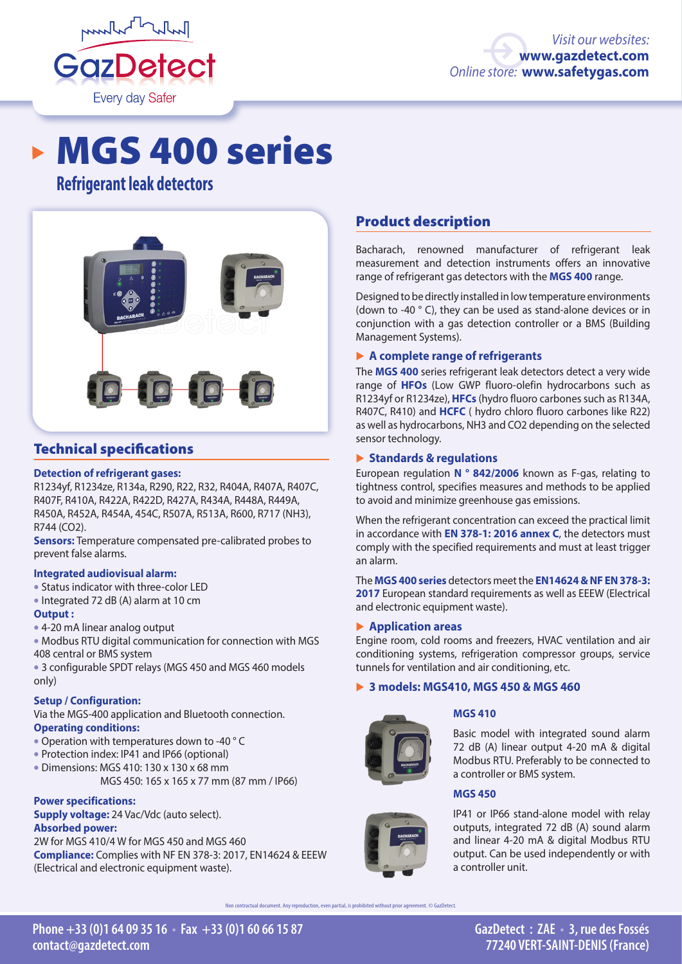

# MGS 400 series

# **Refrigerant leak detectors**



# Technical specifications

# **Detection of refrigerant gases:**

R1234yf, R1234ze, R134a, R290, R22, R32, R404A, R407A, R407C, R407F, R410A, R422A, R422D, R427A, R434A, R448A, R449A, R450A, R452A, R454A, 454C, R507A, R513A, R600, R717 (NH3), R744 (CO2).

**Sensors:** Temperature compensated pre-calibrated probes to prevent false alarms.

# **Integrated audiovisual alarm:**

- Status indicator with three-color LED
- Integrated 72 dB (A) alarm at 10 cm

# **Output :**

- 4-20 mA linear analog output
- Modbus RTU digital communication for connection with MGS 408 central or BMS system
- 3 configurable SPDT relays (MGS 450 and MGS 460 models only)

# **Setup / Configuration:**

Via the MGS-400 application and Bluetooth connection. **Operating conditions:**

- Operation with temperatures down to -40 ° C
- Protection index: IP41 and IP66 (optional)
- Dimensions: MGS 410: 130 x 130 x 68 mm

MGS 450: 165 x 165 x 77 mm (87 mm / IP66)

# **Power specifications:**

**Supply voltage:** 24 Vac/Vdc (auto select). **Absorbed power:** 

2W for MGS 410/4 W for MGS 450 and MGS 460 **Compliance:** Complies with NF EN 378-3: 2017, EN14624 & EEEW (Electrical and electronic equipment waste).

# Product description

Bacharach, renowned manufacturer of refrigerant leak measurement and detection instruments offers an innovative range of refrigerant gas detectors with the **MGS 400** range.

Designed to be directly installed in low temperature environments (down to -40 ° C), they can be used as stand-alone devices or in conjunction with a gas detection controller or a BMS (Building Management Systems).

# � **A complete range of refrigerants**

The **MGS 400** series refrigerant leak detectors detect a very wide range of **HFOs** (Low GWP fluoro-olefin hydrocarbons such as R1234yf or R1234ze), **HFCs** (hydro fluoro carbones such as R134A, R407C, R410) and **HCFC** ( hydro chloro fluoro carbones like R22) as well as hydrocarbons, NH3 and CO2 depending on the selected sensor technology.

# � **Standards & regulations**

European regulation **N ° 842/2006** known as F-gas, relating to tightness control, specifies measures and methods to be applied to avoid and minimize greenhouse gas emissions.

When the refrigerant concentration can exceed the practical limit in accordance with **EN 378-1: 2016 annex C**, the detectors must comply with the specified requirements and must at least trigger an alarm.

The **MGS 400 series** detectors meet the **EN14624 & NF EN 378-3: 2017** European standard requirements as well as EEEW (Electrical and electronic equipment waste).

# � **Application areas**

Engine room, cold rooms and freezers, HVAC ventilation and air conditioning systems, refrigeration compressor groups, service tunnels for ventilation and air conditioning, etc.

# � **3 models: MGS410, MGS 450 & MGS 460**



# **MGS 410**

Basic model with integrated sound alarm 72 dB (A) linear output 4-20 mA & digital Modbus RTU. Preferably to be connected to a controller or BMS system.

# **MGS 450**



IP41 or IP66 stand-alone model with relay outputs, integrated 72 dB (A) sound alarm and linear 4-20 mA & digital Modbus RTU output. Can be used independently or with a controller unit.

Non contractual document. Any reproduction, even partial, is prohibited without prior agreement. © GazDetect.